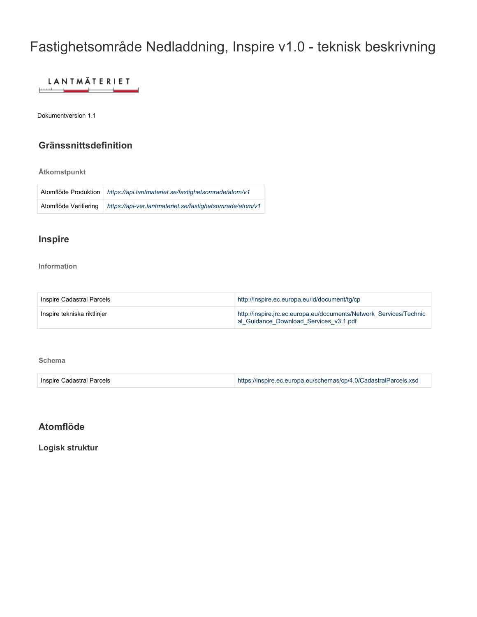# Fastighetsområde Nedladdning, Inspire v1.0 - teknisk beskrivning

#### **LANTMÄTERIET**

Dokumentversion 1.1

## **Gränssnittsdefinition**

**Åtkomstpunkt**

| Atomflöde Produktion  | https://api.lantmateriet.se/fastighetsomrade/atom/v1     |
|-----------------------|----------------------------------------------------------|
| Atomflöde Verifiering | https://api-ver.lantmateriet.se/fastighetsomrade/atom/v1 |

## **Inspire**

**Information**

| Inspire Cadastral Parcels   | http://inspire.ec.europa.eu/id/document/tg/cp                                                                |
|-----------------------------|--------------------------------------------------------------------------------------------------------------|
| Inspire tekniska riktlinier | http://inspire.jrc.ec.europa.eu/documents/Network Services/Technic<br>al Guidance Download Services v3.1.pdf |

#### **Schema**

| Inspire Cadastral Parcels | https://inspire.ec.europa.eu/schemas/cp/4.0/CadastralParcels.xsd |
|---------------------------|------------------------------------------------------------------|
|---------------------------|------------------------------------------------------------------|

## **Atomflöde**

**Logisk struktur**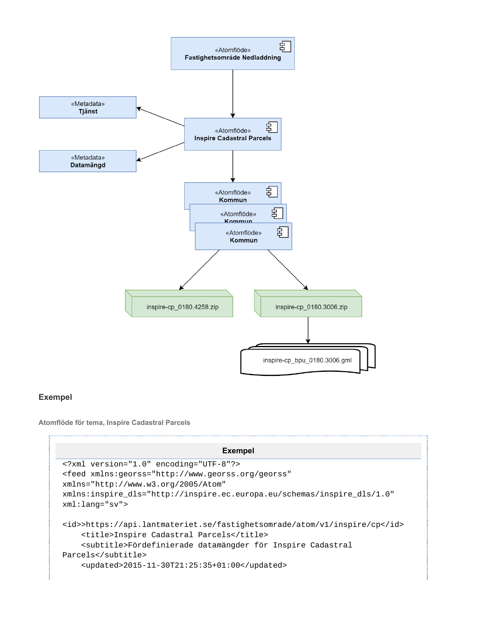

### **Exempel**

**Atomflöde för tema, Inspire Cadastral Parcels**

#### **Exempel**

```
<?xml version="1.0" encoding="UTF-8"?>
<feed xmlns:georss="http://www.georss.org/georss"
xmlns="http://www.w3.org/2005/Atom"
xmlns:inspire_dls="http://inspire.ec.europa.eu/schemas/inspire_dls/1.0"
xml:lang="sv">
<id>>https://api.lantmateriet.se/fastighetsomrade/atom/v1/inspire/cp</id>
     <title>Inspire Cadastral Parcels</title>
     <subtitle>Fördefinierade datamängder för Inspire Cadastral
Parcels</subtitle>
     <updated>2015-11-30T21:25:35+01:00</updated>
```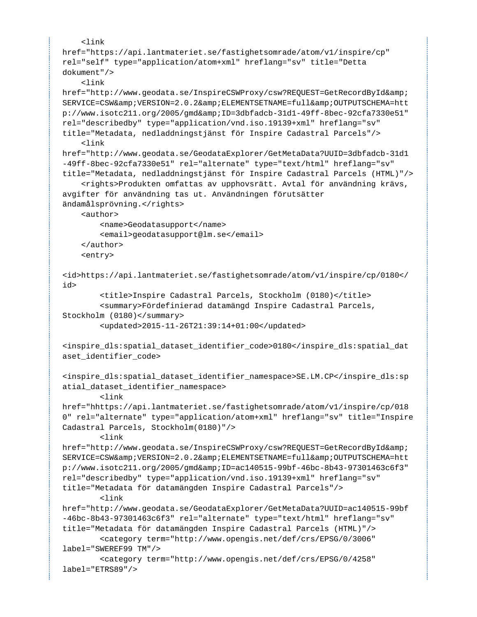```
\leqlink
href="https://api.lantmateriet.se/fastighetsomrade/atom/v1/inspire/cp"
rel="self" type="application/atom+xml" hreflang="sv" title="Detta
dokument"/>
     <link
href="http://www.geodata.se/InspireCSWProxy/csw?REQUEST=GetRecordById&
SERVICE=CSW& VERSION=2.0.2& ELEMENTSETNAME=full& OUTPUTSCHEMA=htt
p://www.isotc211.org/2005/gmd&ID=3dbfadcb-31d1-49ff-8bec-92cfa7330e51"
rel="describedby" type="application/vnd.iso.19139+xml" hreflang="sv"
title="Metadata, nedladdningstjänst för Inspire Cadastral Parcels"/>
     <link
href="http://www.geodata.se/GeodataExplorer/GetMetaData?UUID=3dbfadcb-31d1
-49ff-8bec-92cfa7330e51" rel="alternate" type="text/html" hreflang="sv"
title="Metadata, nedladdningstjänst för Inspire Cadastral Parcels (HTML)"/>
     <rights>Produkten omfattas av upphovsrätt. Avtal för användning krävs,
avgifter för användning tas ut. Användningen förutsätter
ändamålsprövning.</rights>
     <author>
         <name>Geodatasupport</name>
         <email>geodatasupport@lm.se</email>
     </author>
     <entry>
<id>https://api.lantmateriet.se/fastighetsomrade/atom/v1/inspire/cp/0180</
id>
         <title>Inspire Cadastral Parcels, Stockholm (0180)</title>
         <summary>Fördefinierad datamängd Inspire Cadastral Parcels,
Stockholm (0180)</summary>
         <updated>2015-11-26T21:39:14+01:00</updated>
<inspire_dls:spatial_dataset_identifier_code>0180</inspire_dls:spatial_dat
aset_identifier_code>
<inspire_dls:spatial_dataset_identifier_namespace>SE.LM.CP</inspire_dls:sp
atial dataset identifier namespace>
         <link
href="hhttps://api.lantmateriet.se/fastighetsomrade/atom/v1/inspire/cp/018
0" rel="alternate" type="application/atom+xml" hreflang="sv" title="Inspire
Cadastral Parcels, Stockholm(0180)"/>
         <link
href="http://www.geodata.se/InspireCSWProxy/csw?REQUEST=GetRecordById&
SERVICE=CSW& VERSION=2.0.2& ELEMENTSETNAME=full& OUTPUTSCHEMA=htt
p://www.isotc211.org/2005/gmd&ID=ac140515-99bf-46bc-8b43-97301463c6f3"
rel="describedby" type="application/vnd.iso.19139+xml" hreflang="sv"
title="Metadata för datamängden Inspire Cadastral Parcels"/>
         <link
href="http://www.geodata.se/GeodataExplorer/GetMetaData?UUID=ac140515-99bf
-46bc-8b43-97301463c6f3" rel="alternate" type="text/html" hreflang="sv"
title="Metadata för datamängden Inspire Cadastral Parcels (HTML)"/>
         <category term="http://www.opengis.net/def/crs/EPSG/0/3006"
label="SWEREF99 TM"/>
         <category term="http://www.opengis.net/def/crs/EPSG/0/4258"
label="ETRS89"/>
```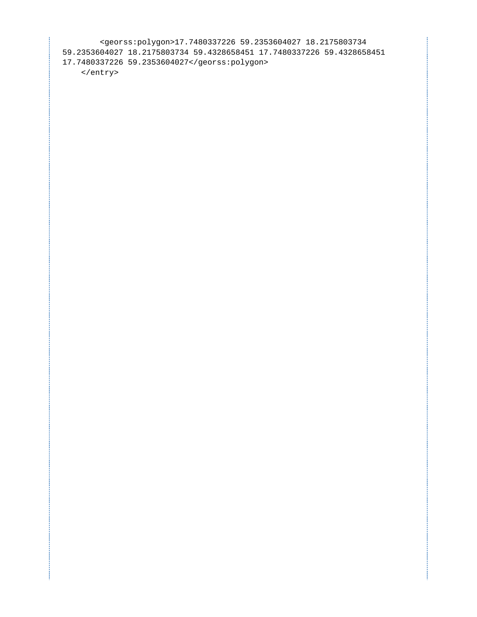<georss:polygon>17.7480337226 59.2353604027 18.2175803734 59.2353604027 18.2175803734 59.4328658451 17.7480337226 59.4328658451 17.7480337226 59.2353604027</georss:polygon> </entry>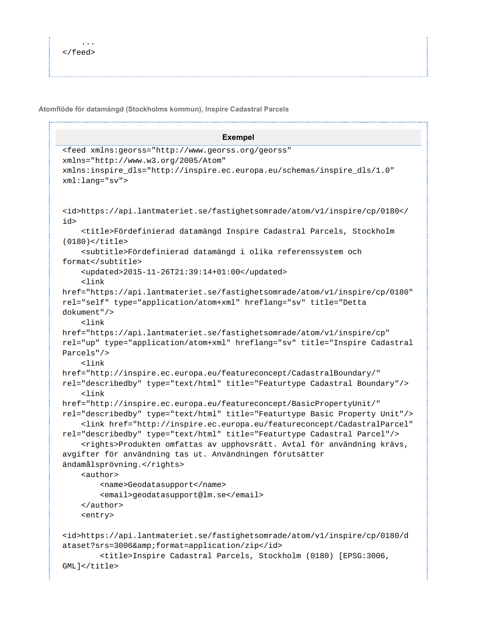**Atomflöde för datamängd (Stockholms kommun), Inspire Cadastral Parcels**

```
Exempel
<feed xmlns:georss="http://www.georss.org/georss"
xmlns="http://www.w3.org/2005/Atom"
xmlns:inspire_dls="http://inspire.ec.europa.eu/schemas/inspire_dls/1.0"
xml:lang="sv">
<id>https://api.lantmateriet.se/fastighetsomrade/atom/v1/inspire/cp/0180</
id>
     <title>Fördefinierad datamängd Inspire Cadastral Parcels, Stockholm
(0180)</title>
     <subtitle>Fördefinierad datamängd i olika referenssystem och
format</subtitle>
     <updated>2015-11-26T21:39:14+01:00</updated>
     <link
href="https://api.lantmateriet.se/fastighetsomrade/atom/v1/inspire/cp/0180"
rel="self" type="application/atom+xml" hreflang="sv" title="Detta
dokument"/>
     <link
href="https://api.lantmateriet.se/fastighetsomrade/atom/v1/inspire/cp"
rel="up" type="application/atom+xml" hreflang="sv" title="Inspire Cadastral
Parcels"/>
     <link
href="http://inspire.ec.europa.eu/featureconcept/CadastralBoundary/"
rel="describedby" type="text/html" title="Featurtype Cadastral Boundary"/>
     <link
href="http://inspire.ec.europa.eu/featureconcept/BasicPropertyUnit/"
rel="describedby" type="text/html" title="Featurtype Basic Property Unit"/>
     <link href="http://inspire.ec.europa.eu/featureconcept/CadastralParcel"
rel="describedby" type="text/html" title="Featurtype Cadastral Parcel"/>
     <rights>Produkten omfattas av upphovsrätt. Avtal för användning krävs,
avgifter för användning tas ut. Användningen förutsätter
ändamålsprövning.</rights>
     <author>
         <name>Geodatasupport</name>
         <email>geodatasupport@lm.se</email>
     </author>
     <entry>
<id>https://api.lantmateriet.se/fastighetsomrade/atom/v1/inspire/cp/0180/d
ataset?srs=3006&format=application/zip</id>
         <title>Inspire Cadastral Parcels, Stockholm (0180) [EPSG:3006,
GML]</title>
```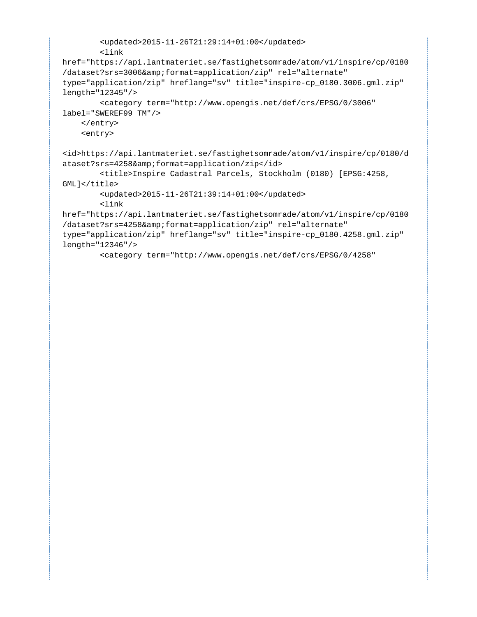```
 <updated>2015-11-26T21:29:14+01:00</updated>
         <link
href="https://api.lantmateriet.se/fastighetsomrade/atom/v1/inspire/cp/0180
/dataset?srs=3006&format=application/zip" rel="alternate"
type="application/zip" hreflang="sv" title="inspire-cp_0180.3006.gml.zip"
length="12345"/>
         <category term="http://www.opengis.net/def/crs/EPSG/0/3006"
label="SWEREF99 TM"/>
     </entry>
     <entry>
<id>https://api.lantmateriet.se/fastighetsomrade/atom/v1/inspire/cp/0180/d
ataset?srs=4258&format=application/zip</id>
         <title>Inspire Cadastral Parcels, Stockholm (0180) [EPSG:4258,
GML]</title>
         <updated>2015-11-26T21:39:14+01:00</updated>
         <link
href="https://api.lantmateriet.se/fastighetsomrade/atom/v1/inspire/cp/0180
/dataset?srs=4258&format=application/zip" rel="alternate"
type="application/zip" hreflang="sv" title="inspire-cp_0180.4258.gml.zip"
length="12346"/>
         <category term="http://www.opengis.net/def/crs/EPSG/0/4258"
```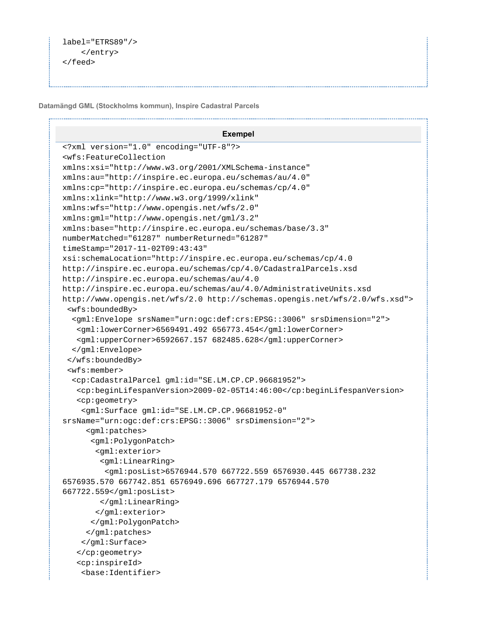```
label="ETRS89"/>
     </entry>
</feed>
```
**Datamängd GML (Stockholms kommun), Inspire Cadastral Parcels**

```
Exempel
<?xml version="1.0" encoding="UTF-8"?>
<wfs:FeatureCollection
xmlns:xsi="http://www.w3.org/2001/XMLSchema-instance"
xmlns:au="http://inspire.ec.europa.eu/schemas/au/4.0"
xmlns:cp="http://inspire.ec.europa.eu/schemas/cp/4.0"
xmlns:xlink="http://www.w3.org/1999/xlink"
xmlns:wfs="http://www.opengis.net/wfs/2.0"
xmlns:gml="http://www.opengis.net/gml/3.2"
xmlns:base="http://inspire.ec.europa.eu/schemas/base/3.3"
numberMatched="61287" numberReturned="61287"
timeStamp="2017-11-02T09:43:43"
xsi:schemaLocation="http://inspire.ec.europa.eu/schemas/cp/4.0
http://inspire.ec.europa.eu/schemas/cp/4.0/CadastralParcels.xsd
http://inspire.ec.europa.eu/schemas/au/4.0
http://inspire.ec.europa.eu/schemas/au/4.0/AdministrativeUnits.xsd
http://www.opengis.net/wfs/2.0 http://schemas.opengis.net/wfs/2.0/wfs.xsd">
  <wfs:boundedBy>
   <gml:Envelope srsName="urn:ogc:def:crs:EPSG::3006" srsDimension="2">
    <gml:lowerCorner>6569491.492 656773.454</gml:lowerCorner>
    <gml:upperCorner>6592667.157 682485.628</gml:upperCorner>
   </gml:Envelope>
  </wfs:boundedBy>
  <wfs:member>
   <cp:CadastralParcel gml:id="SE.LM.CP.CP.96681952">
    <cp:beginLifespanVersion>2009-02-05T14:46:00</cp:beginLifespanVersion>
    <cp:geometry>
     <gml:Surface gml:id="SE.LM.CP.CP.96681952-0"
srsName="urn:ogc:def:crs:EPSG::3006" srsDimension="2">
      <gml:patches>
       <gml:PolygonPatch>
        <gml:exterior>
         <gml:LinearRing>
          <gml:posList>6576944.570 667722.559 6576930.445 667738.232
6576935.570 667742.851 6576949.696 667727.179 6576944.570
667722.559</gml:posList>
         </gml:LinearRing>
        </gml:exterior>
       </gml:PolygonPatch>
      </gml:patches>
     </gml:Surface>
    </cp:geometry>
    <cp:inspireId>
     <base:Identifier>
```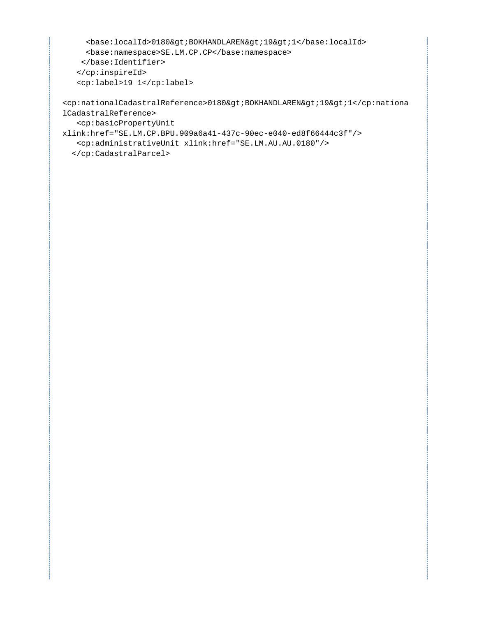```
<br />base:localId>0180&gt;BOKHANDLAREN&gt;19&gt;1</base:localId>
   <base:namespace>SE.LM.CP.CP</base:namespace>
  </base:Identifier>
 </cp:inspireId>
 <cp:label>19 1</cp:label>
```
<cp:nationalCadastralReference>0180&gt;BOKHANDLAREN&gt;19&gt;1</cp:nationa lCadastralReference> <cp:basicPropertyUnit

```
xlink:href="SE.LM.CP.BPU.909a6a41-437c-90ec-e040-ed8f66444c3f"/>
    <cp:administrativeUnit xlink:href="SE.LM.AU.AU.0180"/>
   </cp:CadastralParcel>
```